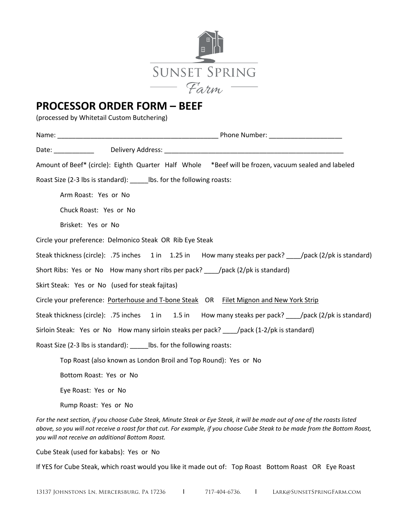

## **PROCESSOR ORDER FORM – BEEF**

(processed by Whitetail Custom Butchering)

|                                                                         | Amount of Beef* (circle): Eighth Quarter Half Whole *Beef will be frozen, vacuum sealed and labeled      |
|-------------------------------------------------------------------------|----------------------------------------------------------------------------------------------------------|
|                                                                         | Roast Size (2-3 lbs is standard): ______ lbs. for the following roasts:                                  |
|                                                                         | Arm Roast: Yes or No                                                                                     |
|                                                                         | Chuck Roast: Yes or No                                                                                   |
|                                                                         | Brisket: Yes or No                                                                                       |
|                                                                         | Circle your preference: Delmonico Steak OR Rib Eye Steak                                                 |
|                                                                         | Steak thickness (circle): .75 inches 1 in 1.25 in How many steaks per pack? /pack (2/pk is standard)     |
|                                                                         | Short Ribs: Yes or No How many short ribs per pack? ______/pack (2/pk is standard)                       |
|                                                                         | Skirt Steak: Yes or No (used for steak fajitas)                                                          |
|                                                                         | Circle your preference: Porterhouse and T-bone Steak OR Filet Mignon and New York Strip                  |
|                                                                         | Steak thickness (circle): .75 inches 1 in 1.5 in How many steaks per pack? _____/pack (2/pk is standard) |
|                                                                         | Sirloin Steak: Yes or No How many sirloin steaks per pack? _____/pack (1-2/pk is standard)               |
| Roast Size (2-3 lbs is standard): ______ lbs. for the following roasts: |                                                                                                          |
|                                                                         | Top Roast (also known as London Broil and Top Round): Yes or No                                          |
|                                                                         | Bottom Roast: Yes or No                                                                                  |
|                                                                         | Eye Roast: Yes or No                                                                                     |
|                                                                         | Rump Roast: Yes or No                                                                                    |

*For the next section, if you choose Cube Steak, Minute Steak or Eye Steak, it will be made out of one of the roasts listed above, so you will not receive a roast for that cut. For example, if you choose Cube Steak to be made from the Bottom Roast, you will not receive an additional Bottom Roast.* 

Cube Steak (used for kababs): Yes or No

If YES for Cube Steak, which roast would you like it made out of: Top Roast Bottom Roast OR Eye Roast